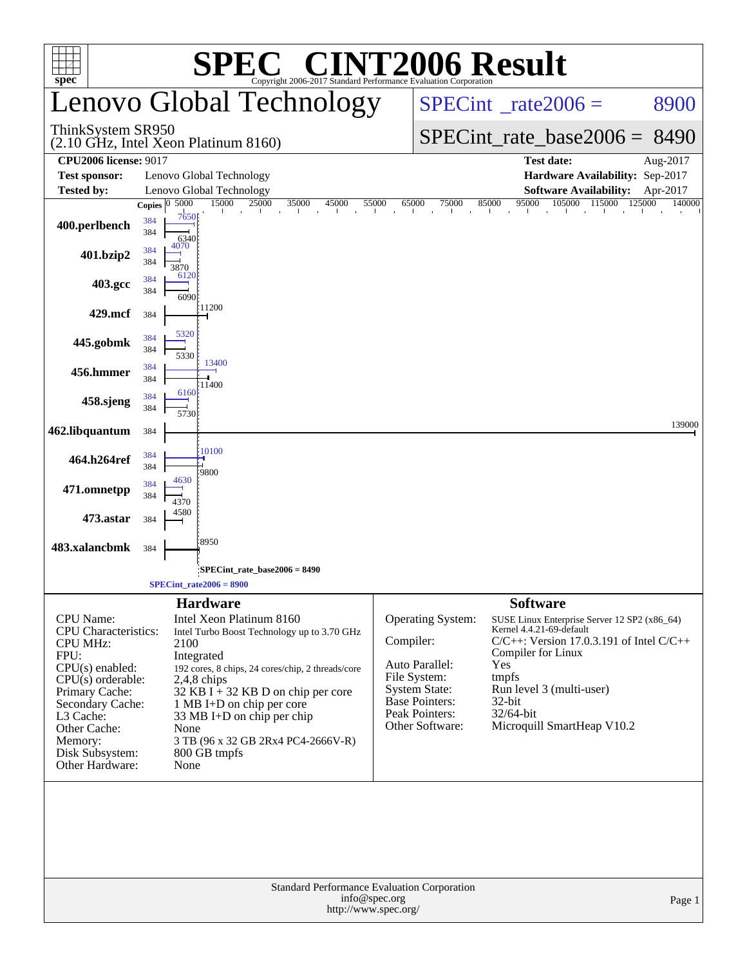| $\mathbf{SPE}_{\mathbf{C}\text{opyright 2006-2017\,Standard\, Performance\, Evaluation\, Corporation}}$<br>$spec^*$                                                                                                                 |                                          |                                                                                                                                                                                                                                                                                                                                              |               |                                                                                                                                                  |                                                                                                                                                                                                                                                  |                    |  |  |  |  |
|-------------------------------------------------------------------------------------------------------------------------------------------------------------------------------------------------------------------------------------|------------------------------------------|----------------------------------------------------------------------------------------------------------------------------------------------------------------------------------------------------------------------------------------------------------------------------------------------------------------------------------------------|---------------|--------------------------------------------------------------------------------------------------------------------------------------------------|--------------------------------------------------------------------------------------------------------------------------------------------------------------------------------------------------------------------------------------------------|--------------------|--|--|--|--|
|                                                                                                                                                                                                                                     |                                          | Lenovo Global Technology                                                                                                                                                                                                                                                                                                                     |               | $SPECint^{\circ}$ <sub>_rate2006</sub> =                                                                                                         | 8900                                                                                                                                                                                                                                             |                    |  |  |  |  |
| ThinkSystem SR950                                                                                                                                                                                                                   |                                          | $(2.10 \text{ GHz}, \text{Intel Xeon Platinum } 8160)$                                                                                                                                                                                                                                                                                       |               | $SPECint_rate_base2006 =$                                                                                                                        | 8490                                                                                                                                                                                                                                             |                    |  |  |  |  |
| <b>CPU2006 license: 9017</b>                                                                                                                                                                                                        |                                          |                                                                                                                                                                                                                                                                                                                                              |               |                                                                                                                                                  | <b>Test date:</b>                                                                                                                                                                                                                                | Aug-2017           |  |  |  |  |
| <b>Test sponsor:</b>                                                                                                                                                                                                                |                                          | Lenovo Global Technology                                                                                                                                                                                                                                                                                                                     |               |                                                                                                                                                  | Hardware Availability: Sep-2017                                                                                                                                                                                                                  |                    |  |  |  |  |
| <b>Tested by:</b>                                                                                                                                                                                                                   | 5000                                     | Lenovo Global Technology<br>15000<br>25000<br>35000<br>45000                                                                                                                                                                                                                                                                                 | 55000         | 75000<br>65000                                                                                                                                   | <b>Software Availability:</b><br>85000                                                                                                                                                                                                           | Apr-2017<br>140000 |  |  |  |  |
| 400.perlbench                                                                                                                                                                                                                       | Copies $ 0\rangle$<br>384<br>384<br>4070 | 7650<br>6340                                                                                                                                                                                                                                                                                                                                 |               |                                                                                                                                                  | $\frac{95000}{\frac{1}{1}} \cdot \frac{105000}{\frac{1}{1}} \cdot \frac{115000}{\frac{1}{1}} \cdot \frac{125000}{\frac{1}{1}}$<br>all the con-                                                                                                   |                    |  |  |  |  |
| 401.bzip2                                                                                                                                                                                                                           | 384<br>384<br>3870                       | 6120                                                                                                                                                                                                                                                                                                                                         |               |                                                                                                                                                  |                                                                                                                                                                                                                                                  |                    |  |  |  |  |
| 403.gcc                                                                                                                                                                                                                             | 384<br>384                               | 6090                                                                                                                                                                                                                                                                                                                                         |               |                                                                                                                                                  |                                                                                                                                                                                                                                                  |                    |  |  |  |  |
| 429.mcf                                                                                                                                                                                                                             | 384                                      | 11200<br>5320                                                                                                                                                                                                                                                                                                                                |               |                                                                                                                                                  |                                                                                                                                                                                                                                                  |                    |  |  |  |  |
| 445.gobmk                                                                                                                                                                                                                           | 384<br>384                               | 5330<br>13400                                                                                                                                                                                                                                                                                                                                |               |                                                                                                                                                  |                                                                                                                                                                                                                                                  |                    |  |  |  |  |
| 456.hmmer                                                                                                                                                                                                                           | 384<br>384                               | 11400<br>6160                                                                                                                                                                                                                                                                                                                                |               |                                                                                                                                                  |                                                                                                                                                                                                                                                  |                    |  |  |  |  |
| 458.sjeng                                                                                                                                                                                                                           | 384<br>384                               | 5730                                                                                                                                                                                                                                                                                                                                         |               |                                                                                                                                                  |                                                                                                                                                                                                                                                  |                    |  |  |  |  |
| 462.libquantum                                                                                                                                                                                                                      | 384                                      | 10100                                                                                                                                                                                                                                                                                                                                        |               |                                                                                                                                                  |                                                                                                                                                                                                                                                  | 139000             |  |  |  |  |
| 464.h264ref                                                                                                                                                                                                                         | 384<br>384<br>4630                       | 9800                                                                                                                                                                                                                                                                                                                                         |               |                                                                                                                                                  |                                                                                                                                                                                                                                                  |                    |  |  |  |  |
| 471.omnetpp                                                                                                                                                                                                                         | 384<br>384<br>4370                       |                                                                                                                                                                                                                                                                                                                                              |               |                                                                                                                                                  |                                                                                                                                                                                                                                                  |                    |  |  |  |  |
| 473.astar                                                                                                                                                                                                                           | 4580<br>384                              |                                                                                                                                                                                                                                                                                                                                              |               |                                                                                                                                                  |                                                                                                                                                                                                                                                  |                    |  |  |  |  |
| 483.xalancbmk                                                                                                                                                                                                                       | 384                                      | 8950<br>SPECint_rate_base2006 = 8490                                                                                                                                                                                                                                                                                                         |               |                                                                                                                                                  |                                                                                                                                                                                                                                                  |                    |  |  |  |  |
|                                                                                                                                                                                                                                     |                                          | $SPECint_rate2006 = 8900$                                                                                                                                                                                                                                                                                                                    |               |                                                                                                                                                  |                                                                                                                                                                                                                                                  |                    |  |  |  |  |
|                                                                                                                                                                                                                                     |                                          | <b>Hardware</b>                                                                                                                                                                                                                                                                                                                              |               |                                                                                                                                                  | <b>Software</b>                                                                                                                                                                                                                                  |                    |  |  |  |  |
| CPU Name:<br><b>CPU</b> Characteristics:<br><b>CPU MHz:</b><br>FPU:<br>$CPU(s)$ enabled:<br>$CPU(s)$ orderable:<br>Primary Cache:<br>Secondary Cache:<br>L3 Cache:<br>Other Cache:<br>Memory:<br>Disk Subsystem:<br>Other Hardware: |                                          | Intel Xeon Platinum 8160<br>Intel Turbo Boost Technology up to 3.70 GHz<br>2100<br>Integrated<br>192 cores, 8 chips, 24 cores/chip, 2 threads/core<br>$2,4,8$ chips<br>$32$ KB I + 32 KB D on chip per core<br>1 MB I+D on chip per core<br>33 MB I+D on chip per chip<br>None<br>3 TB (96 x 32 GB 2Rx4 PC4-2666V-R)<br>800 GB tmpfs<br>None | Compiler:     | <b>Operating System:</b><br>Auto Parallel:<br>File System:<br><b>System State:</b><br><b>Base Pointers:</b><br>Peak Pointers:<br>Other Software: | SUSE Linux Enterprise Server 12 SP2 (x86_64)<br>Kernel 4.4.21-69-default<br>$C/C++$ : Version 17.0.3.191 of Intel $C/C++$<br>Compiler for Linux<br>Yes<br>tmpfs<br>Run level 3 (multi-user)<br>32-bit<br>32/64-bit<br>Microquill SmartHeap V10.2 |                    |  |  |  |  |
|                                                                                                                                                                                                                                     |                                          | Standard Performance Evaluation Corporation<br>http://www.spec.org/                                                                                                                                                                                                                                                                          | info@spec.org |                                                                                                                                                  |                                                                                                                                                                                                                                                  | Page 1             |  |  |  |  |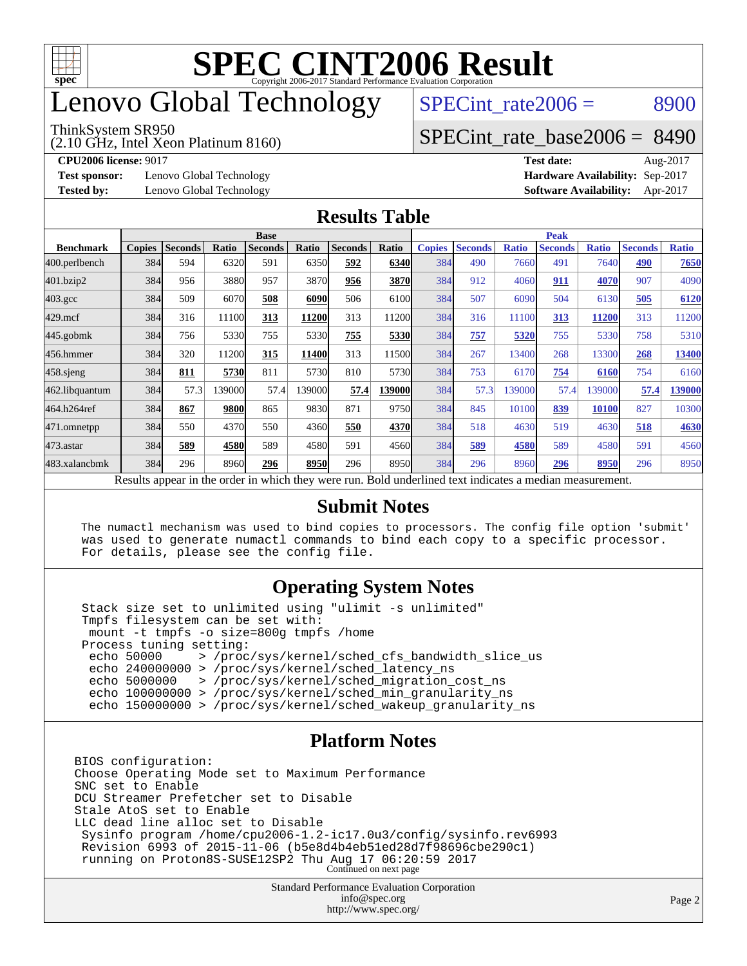

# enovo Global Technology

#### ThinkSystem SR950

(2.10 GHz, Intel Xeon Platinum 8160)

SPECint rate $2006 = 8900$ 

## [SPECint\\_rate\\_base2006 =](http://www.spec.org/auto/cpu2006/Docs/result-fields.html#SPECintratebase2006) 8490

**[CPU2006 license:](http://www.spec.org/auto/cpu2006/Docs/result-fields.html#CPU2006license)** 9017 **[Test date:](http://www.spec.org/auto/cpu2006/Docs/result-fields.html#Testdate)** Aug-2017

**[Test sponsor:](http://www.spec.org/auto/cpu2006/Docs/result-fields.html#Testsponsor)** Lenovo Global Technology **[Hardware Availability:](http://www.spec.org/auto/cpu2006/Docs/result-fields.html#HardwareAvailability)** Sep-2017

**[Tested by:](http://www.spec.org/auto/cpu2006/Docs/result-fields.html#Testedby)** Lenovo Global Technology **[Software Availability:](http://www.spec.org/auto/cpu2006/Docs/result-fields.html#SoftwareAvailability)** Apr-2017

### **[Results Table](http://www.spec.org/auto/cpu2006/Docs/result-fields.html#ResultsTable)**

|                                                                                                            | <b>Base</b>   |                |       |                |        |                | <b>Peak</b> |               |                |              |                |              |                |              |
|------------------------------------------------------------------------------------------------------------|---------------|----------------|-------|----------------|--------|----------------|-------------|---------------|----------------|--------------|----------------|--------------|----------------|--------------|
| <b>Benchmark</b>                                                                                           | <b>Copies</b> | <b>Seconds</b> | Ratio | <b>Seconds</b> | Ratio  | <b>Seconds</b> | Ratio       | <b>Copies</b> | <b>Seconds</b> | <b>Ratio</b> | <b>Seconds</b> | <b>Ratio</b> | <b>Seconds</b> | <b>Ratio</b> |
| 400.perlbench                                                                                              | 384           | 594            | 6320  | 591            | 6350   | 592            | 6340        | 384           | 490            | 7660         | 491            | 7640         | 490            | 7650         |
| 401.bzip2                                                                                                  | 384           | 956            | 3880  | 957            | 3870   | 956            | 3870        | 384           | 912            | 4060         | 911            | 4070         | 907            | 4090         |
| $403.\mathrm{gcc}$                                                                                         | 384           | 509            | 6070  | 508            | 6090   | 506            | 6100        | 384           | 507            | 6090         | 504            | 6130         | 505            | 6120         |
| $429$ .mcf                                                                                                 | 384           | 316            | 11100 | 313            | 11200  | 313            | 11200       | 384           | 316            | 11100        | 313            | 11200        | 313            | 11200        |
| $445$ .gobmk                                                                                               | 384           | 756            | 5330  | 755            | 5330   | 755            | 5330        | 384           | 757            | 5320         | 755            | 5330         | 758            | 5310         |
| 456.hmmer                                                                                                  | 384           | 320            | 11200 | 315            | 11400  | 313            | 11500       | 384           | 267            | 13400        | 268            | 13300        | 268            | 13400        |
| $458$ .sjeng                                                                                               | 384           | 811            | 5730  | 811            | 5730   | 810            | 5730        | 384           | 753            | 6170         | 754            | 6160         | 754            | 6160         |
| 462.libquantum                                                                                             | 384           | 57.3           | 39000 | 57.4           | 139000 | 57.4           | 139000      | 384           | 57.3           | 39000        | 57.4           | 139000       | 57.4           | 139000       |
| 464.h264ref                                                                                                | 384           | 867            | 9800  | 865            | 9830   | 871            | 9750        | 384           | 845            | 10100        | 839            | 10100        | 827            | 10300        |
| 471.omnetpp                                                                                                | 384           | 550            | 4370  | 550            | 4360   | 550            | 4370        | 384           | 518            | 4630         | 519            | 4630         | 518            | 4630         |
| 473.astar                                                                                                  | 384           | 589            | 4580  | 589            | 4580   | 591            | 4560        | 384           | 589            | 4580         | 589            | 4580         | 591            | 4560         |
| 483.xalancbmk                                                                                              | 384           | 296            | 8960  | 296            | 8950   | 296            | 8950        | 384           | 296            | 8960         | 296            | 8950         | 296            | 8950         |
| 1, 2, 1, 11<br>$\mathbf{D} \cdot \mathbf{I}$<br><b>ALCOHOL: 1989</b><br><b>A</b> 11.<br>$\mathbf{D}$ . 1.1 |               |                |       |                |        |                |             |               |                |              |                |              |                |              |

Results appear in the [order in which they were run.](http://www.spec.org/auto/cpu2006/Docs/result-fields.html#RunOrder) Bold underlined text [indicates a median measurement.](http://www.spec.org/auto/cpu2006/Docs/result-fields.html#Median)

### **[Submit Notes](http://www.spec.org/auto/cpu2006/Docs/result-fields.html#SubmitNotes)**

 The numactl mechanism was used to bind copies to processors. The config file option 'submit' was used to generate numactl commands to bind each copy to a specific processor. For details, please see the config file.

### **[Operating System Notes](http://www.spec.org/auto/cpu2006/Docs/result-fields.html#OperatingSystemNotes)**

 Stack size set to unlimited using "ulimit -s unlimited" Tmpfs filesystem can be set with: mount -t tmpfs -o size=800g tmpfs /home Process tuning setting:<br>echo 50000 > /proc echo 50000 > /proc/sys/kernel/sched\_cfs\_bandwidth\_slice\_us echo 240000000 > /proc/sys/kernel/sched\_latency\_ns echo 5000000 > /proc/sys/kernel/sched\_migration\_cost\_ns echo 100000000 > /proc/sys/kernel/sched\_min\_granularity\_ns echo 150000000 > /proc/sys/kernel/sched\_wakeup\_granularity\_ns

### **[Platform Notes](http://www.spec.org/auto/cpu2006/Docs/result-fields.html#PlatformNotes)**

BIOS configuration: Choose Operating Mode set to Maximum Performance SNC set to Enable DCU Streamer Prefetcher set to Disable Stale AtoS set to Enable LLC dead line alloc set to Disable Sysinfo program /home/cpu2006-1.2-ic17.0u3/config/sysinfo.rev6993 Revision 6993 of 2015-11-06 (b5e8d4b4eb51ed28d7f98696cbe290c1) running on Proton8S-SUSE12SP2 Thu Aug 17 06:20:59 2017 Continued on next page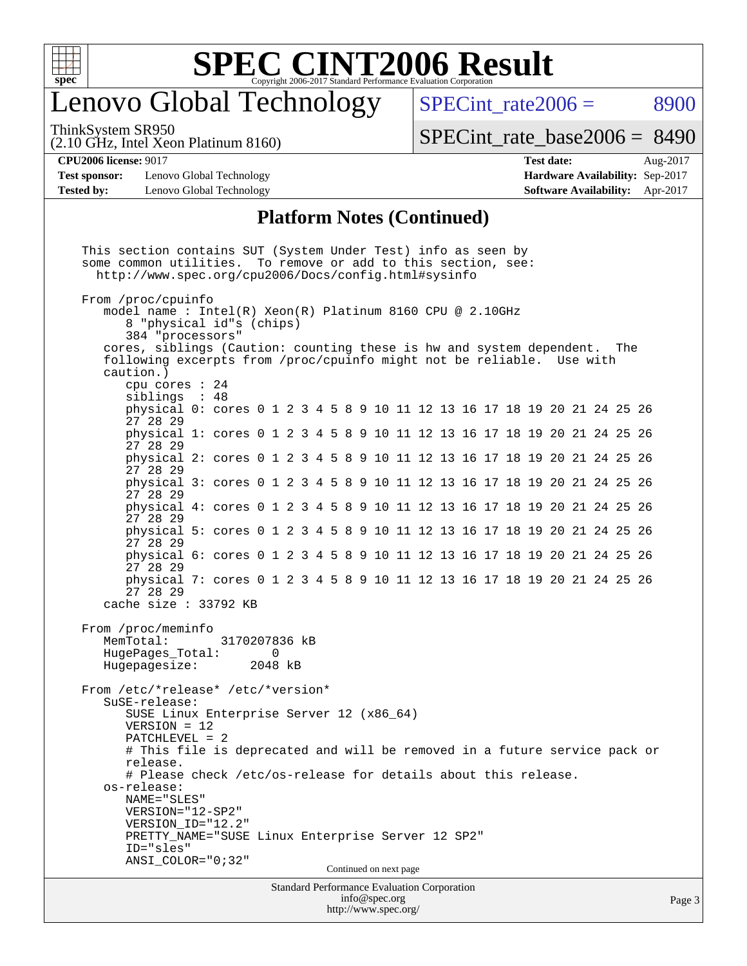

# enovo Global Technology

SPECint rate $2006 = 8900$ 

ThinkSystem SR950

(2.10 GHz, Intel Xeon Platinum 8160)

[SPECint\\_rate\\_base2006 =](http://www.spec.org/auto/cpu2006/Docs/result-fields.html#SPECintratebase2006) 8490

**[Test sponsor:](http://www.spec.org/auto/cpu2006/Docs/result-fields.html#Testsponsor)** Lenovo Global Technology **[Hardware Availability:](http://www.spec.org/auto/cpu2006/Docs/result-fields.html#HardwareAvailability)** Sep-2017 **[Tested by:](http://www.spec.org/auto/cpu2006/Docs/result-fields.html#Testedby)** Lenovo Global Technology **[Software Availability:](http://www.spec.org/auto/cpu2006/Docs/result-fields.html#SoftwareAvailability)** Apr-2017

**[CPU2006 license:](http://www.spec.org/auto/cpu2006/Docs/result-fields.html#CPU2006license)** 9017 **[Test date:](http://www.spec.org/auto/cpu2006/Docs/result-fields.html#Testdate)** Aug-2017

### **[Platform Notes \(Continued\)](http://www.spec.org/auto/cpu2006/Docs/result-fields.html#PlatformNotes)**

Standard Performance Evaluation Corporation [info@spec.org](mailto:info@spec.org) <http://www.spec.org/> This section contains SUT (System Under Test) info as seen by some common utilities. To remove or add to this section, see: <http://www.spec.org/cpu2006/Docs/config.html#sysinfo> From /proc/cpuinfo model name : Intel(R) Xeon(R) Platinum 8160 CPU @ 2.10GHz 8 "physical id"s (chips) 384 "processors" cores, siblings (Caution: counting these is hw and system dependent. The following excerpts from /proc/cpuinfo might not be reliable. Use with caution.) cpu cores : 24 siblings : 48 physical 0: cores 0 1 2 3 4 5 8 9 10 11 12 13 16 17 18 19 20 21 24 25 26 27 28 29 physical 1: cores 0 1 2 3 4 5 8 9 10 11 12 13 16 17 18 19 20 21 24 25 26 27 28 29 physical 2: cores 0 1 2 3 4 5 8 9 10 11 12 13 16 17 18 19 20 21 24 25 26 27 28 29 physical 3: cores 0 1 2 3 4 5 8 9 10 11 12 13 16 17 18 19 20 21 24 25 26 27 28 29 physical 4: cores 0 1 2 3 4 5 8 9 10 11 12 13 16 17 18 19 20 21 24 25 26 27 28 29 physical 5: cores 0 1 2 3 4 5 8 9 10 11 12 13 16 17 18 19 20 21 24 25 26 27 28 29 physical 6: cores 0 1 2 3 4 5 8 9 10 11 12 13 16 17 18 19 20 21 24 25 26 27 28 29 physical 7: cores 0 1 2 3 4 5 8 9 10 11 12 13 16 17 18 19 20 21 24 25 26 27 28 29 cache size : 33792 KB From /proc/meminfo MemTotal: 3170207836 kB HugePages Total: 0 Hugepagesize: 2048 kB From /etc/\*release\* /etc/\*version\* SuSE-release: SUSE Linux Enterprise Server 12 (x86\_64) VERSION = 12 PATCHLEVEL = 2 # This file is deprecated and will be removed in a future service pack or release. # Please check /etc/os-release for details about this release. os-release: NAME="SLES" VERSION="12-SP2" VERSION\_ID="12.2" PRETTY\_NAME="SUSE Linux Enterprise Server 12 SP2" ID="sles" ANSI\_COLOR="0;32" Continued on next page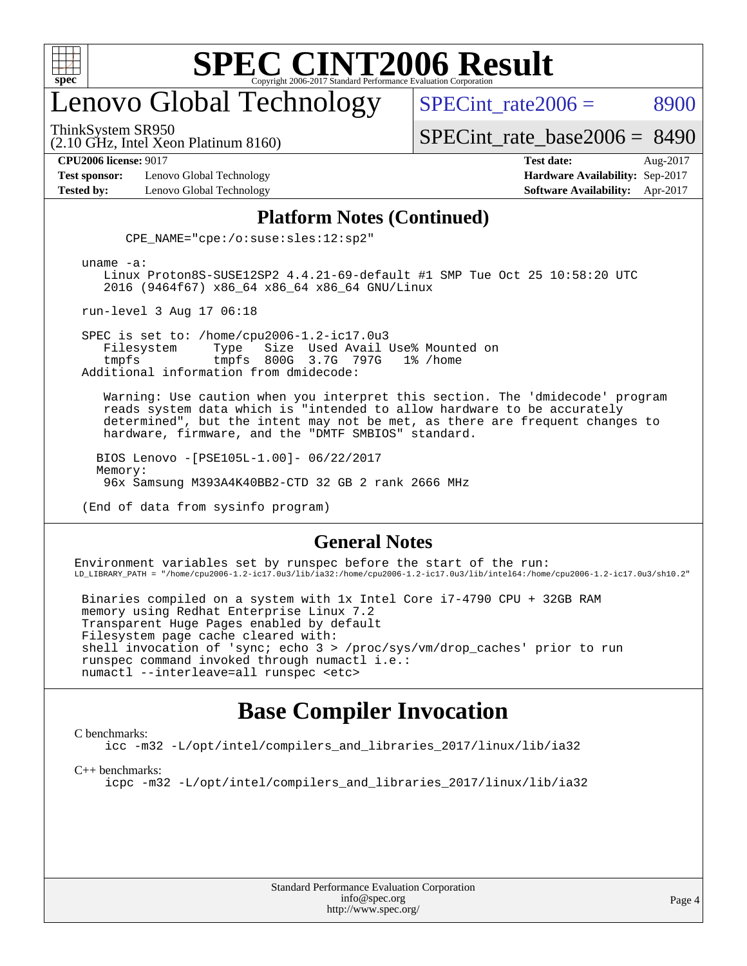

# enovo Global Technology

SPECint rate $2006 = 8900$ 

ThinkSystem SR950

(2.10 GHz, Intel Xeon Platinum 8160)

[SPECint\\_rate\\_base2006 =](http://www.spec.org/auto/cpu2006/Docs/result-fields.html#SPECintratebase2006) 8490

**[Test sponsor:](http://www.spec.org/auto/cpu2006/Docs/result-fields.html#Testsponsor)** Lenovo Global Technology **[Hardware Availability:](http://www.spec.org/auto/cpu2006/Docs/result-fields.html#HardwareAvailability)** Sep-2017

**[CPU2006 license:](http://www.spec.org/auto/cpu2006/Docs/result-fields.html#CPU2006license)** 9017 **[Test date:](http://www.spec.org/auto/cpu2006/Docs/result-fields.html#Testdate)** Aug-2017 **[Tested by:](http://www.spec.org/auto/cpu2006/Docs/result-fields.html#Testedby)** Lenovo Global Technology **[Software Availability:](http://www.spec.org/auto/cpu2006/Docs/result-fields.html#SoftwareAvailability)** Apr-2017

### **[Platform Notes \(Continued\)](http://www.spec.org/auto/cpu2006/Docs/result-fields.html#PlatformNotes)**

CPE\_NAME="cpe:/o:suse:sles:12:sp2"

uname -a:

 Linux Proton8S-SUSE12SP2 4.4.21-69-default #1 SMP Tue Oct 25 10:58:20 UTC 2016 (9464f67) x86\_64 x86\_64 x86\_64 GNU/Linux

run-level 3 Aug 17 06:18

SPEC is set to: /home/cpu2006-1.2-ic17.0u3<br>Filesystem Type Size Used Avail Filesystem Type Size Used Avail Use% Mounted on tmpfs tmpfs 800G 3.7G 797G 1% /home Additional information from dmidecode:

 Warning: Use caution when you interpret this section. The 'dmidecode' program reads system data which is "intended to allow hardware to be accurately determined", but the intent may not be met, as there are frequent changes to hardware, firmware, and the "DMTF SMBIOS" standard.

 BIOS Lenovo -[PSE105L-1.00]- 06/22/2017 Memory: 96x Samsung M393A4K40BB2-CTD 32 GB 2 rank 2666 MHz

(End of data from sysinfo program)

### **[General Notes](http://www.spec.org/auto/cpu2006/Docs/result-fields.html#GeneralNotes)**

Environment variables set by runspec before the start of the run: LD\_LIBRARY\_PATH = "/home/cpu2006-1.2-ic17.0u3/lib/ia32:/home/cpu2006-1.2-ic17.0u3/lib/intel64:/home/cpu2006-1.2-ic17.0u3/sh10.2"

 Binaries compiled on a system with 1x Intel Core i7-4790 CPU + 32GB RAM memory using Redhat Enterprise Linux 7.2 Transparent Huge Pages enabled by default Filesystem page cache cleared with: shell invocation of 'sync; echo 3 > /proc/sys/vm/drop\_caches' prior to run runspec command invoked through numactl i.e.: numactl --interleave=all runspec <etc>

## **[Base Compiler Invocation](http://www.spec.org/auto/cpu2006/Docs/result-fields.html#BaseCompilerInvocation)**

#### [C benchmarks](http://www.spec.org/auto/cpu2006/Docs/result-fields.html#Cbenchmarks):

[icc -m32 -L/opt/intel/compilers\\_and\\_libraries\\_2017/linux/lib/ia32](http://www.spec.org/cpu2006/results/res2017q4/cpu2006-20170917-49368.flags.html#user_CCbase_intel_icc_c29f3ff5a7ed067b11e4ec10a03f03ae)

[C++ benchmarks:](http://www.spec.org/auto/cpu2006/Docs/result-fields.html#CXXbenchmarks)

[icpc -m32 -L/opt/intel/compilers\\_and\\_libraries\\_2017/linux/lib/ia32](http://www.spec.org/cpu2006/results/res2017q4/cpu2006-20170917-49368.flags.html#user_CXXbase_intel_icpc_8c35c7808b62dab9ae41a1aa06361b6b)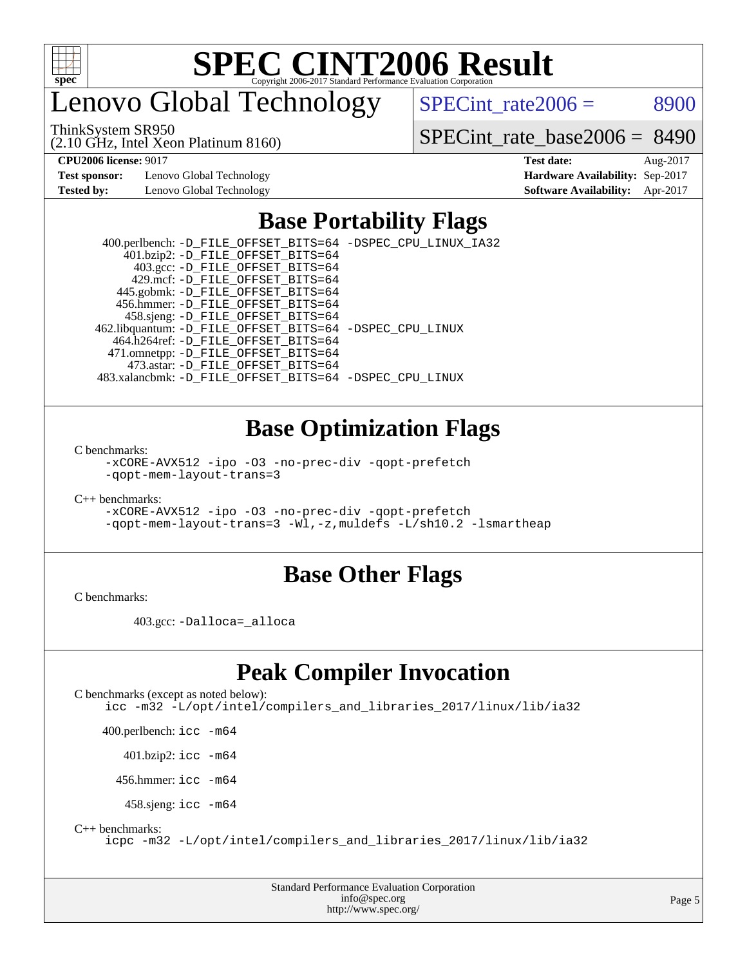

# enovo Global Technology

SPECint rate $2006 = 8900$ 

ThinkSystem SR950

(2.10 GHz, Intel Xeon Platinum 8160)

[SPECint\\_rate\\_base2006 =](http://www.spec.org/auto/cpu2006/Docs/result-fields.html#SPECintratebase2006) 8490

**[Test sponsor:](http://www.spec.org/auto/cpu2006/Docs/result-fields.html#Testsponsor)** Lenovo Global Technology **[Hardware Availability:](http://www.spec.org/auto/cpu2006/Docs/result-fields.html#HardwareAvailability)** Sep-2017 **[Tested by:](http://www.spec.org/auto/cpu2006/Docs/result-fields.html#Testedby)** Lenovo Global Technology **[Software Availability:](http://www.spec.org/auto/cpu2006/Docs/result-fields.html#SoftwareAvailability)** Apr-2017

**[CPU2006 license:](http://www.spec.org/auto/cpu2006/Docs/result-fields.html#CPU2006license)** 9017 **[Test date:](http://www.spec.org/auto/cpu2006/Docs/result-fields.html#Testdate)** Aug-2017

# **[Base Portability Flags](http://www.spec.org/auto/cpu2006/Docs/result-fields.html#BasePortabilityFlags)**

 400.perlbench: [-D\\_FILE\\_OFFSET\\_BITS=64](http://www.spec.org/cpu2006/results/res2017q4/cpu2006-20170917-49368.flags.html#user_basePORTABILITY400_perlbench_file_offset_bits_64_438cf9856305ebd76870a2c6dc2689ab) [-DSPEC\\_CPU\\_LINUX\\_IA32](http://www.spec.org/cpu2006/results/res2017q4/cpu2006-20170917-49368.flags.html#b400.perlbench_baseCPORTABILITY_DSPEC_CPU_LINUX_IA32) 401.bzip2: [-D\\_FILE\\_OFFSET\\_BITS=64](http://www.spec.org/cpu2006/results/res2017q4/cpu2006-20170917-49368.flags.html#user_basePORTABILITY401_bzip2_file_offset_bits_64_438cf9856305ebd76870a2c6dc2689ab) 403.gcc: [-D\\_FILE\\_OFFSET\\_BITS=64](http://www.spec.org/cpu2006/results/res2017q4/cpu2006-20170917-49368.flags.html#user_basePORTABILITY403_gcc_file_offset_bits_64_438cf9856305ebd76870a2c6dc2689ab) 429.mcf: [-D\\_FILE\\_OFFSET\\_BITS=64](http://www.spec.org/cpu2006/results/res2017q4/cpu2006-20170917-49368.flags.html#user_basePORTABILITY429_mcf_file_offset_bits_64_438cf9856305ebd76870a2c6dc2689ab) 445.gobmk: [-D\\_FILE\\_OFFSET\\_BITS=64](http://www.spec.org/cpu2006/results/res2017q4/cpu2006-20170917-49368.flags.html#user_basePORTABILITY445_gobmk_file_offset_bits_64_438cf9856305ebd76870a2c6dc2689ab) 456.hmmer: [-D\\_FILE\\_OFFSET\\_BITS=64](http://www.spec.org/cpu2006/results/res2017q4/cpu2006-20170917-49368.flags.html#user_basePORTABILITY456_hmmer_file_offset_bits_64_438cf9856305ebd76870a2c6dc2689ab) 458.sjeng: [-D\\_FILE\\_OFFSET\\_BITS=64](http://www.spec.org/cpu2006/results/res2017q4/cpu2006-20170917-49368.flags.html#user_basePORTABILITY458_sjeng_file_offset_bits_64_438cf9856305ebd76870a2c6dc2689ab) 462.libquantum: [-D\\_FILE\\_OFFSET\\_BITS=64](http://www.spec.org/cpu2006/results/res2017q4/cpu2006-20170917-49368.flags.html#user_basePORTABILITY462_libquantum_file_offset_bits_64_438cf9856305ebd76870a2c6dc2689ab) [-DSPEC\\_CPU\\_LINUX](http://www.spec.org/cpu2006/results/res2017q4/cpu2006-20170917-49368.flags.html#b462.libquantum_baseCPORTABILITY_DSPEC_CPU_LINUX) 464.h264ref: [-D\\_FILE\\_OFFSET\\_BITS=64](http://www.spec.org/cpu2006/results/res2017q4/cpu2006-20170917-49368.flags.html#user_basePORTABILITY464_h264ref_file_offset_bits_64_438cf9856305ebd76870a2c6dc2689ab) 471.omnetpp: [-D\\_FILE\\_OFFSET\\_BITS=64](http://www.spec.org/cpu2006/results/res2017q4/cpu2006-20170917-49368.flags.html#user_basePORTABILITY471_omnetpp_file_offset_bits_64_438cf9856305ebd76870a2c6dc2689ab) 473.astar: [-D\\_FILE\\_OFFSET\\_BITS=64](http://www.spec.org/cpu2006/results/res2017q4/cpu2006-20170917-49368.flags.html#user_basePORTABILITY473_astar_file_offset_bits_64_438cf9856305ebd76870a2c6dc2689ab) 483.xalancbmk: [-D\\_FILE\\_OFFSET\\_BITS=64](http://www.spec.org/cpu2006/results/res2017q4/cpu2006-20170917-49368.flags.html#user_basePORTABILITY483_xalancbmk_file_offset_bits_64_438cf9856305ebd76870a2c6dc2689ab) [-DSPEC\\_CPU\\_LINUX](http://www.spec.org/cpu2006/results/res2017q4/cpu2006-20170917-49368.flags.html#b483.xalancbmk_baseCXXPORTABILITY_DSPEC_CPU_LINUX)

# **[Base Optimization Flags](http://www.spec.org/auto/cpu2006/Docs/result-fields.html#BaseOptimizationFlags)**

[C benchmarks](http://www.spec.org/auto/cpu2006/Docs/result-fields.html#Cbenchmarks):

[-xCORE-AVX512](http://www.spec.org/cpu2006/results/res2017q4/cpu2006-20170917-49368.flags.html#user_CCbase_f-xCORE-AVX512) [-ipo](http://www.spec.org/cpu2006/results/res2017q4/cpu2006-20170917-49368.flags.html#user_CCbase_f-ipo) [-O3](http://www.spec.org/cpu2006/results/res2017q4/cpu2006-20170917-49368.flags.html#user_CCbase_f-O3) [-no-prec-div](http://www.spec.org/cpu2006/results/res2017q4/cpu2006-20170917-49368.flags.html#user_CCbase_f-no-prec-div) [-qopt-prefetch](http://www.spec.org/cpu2006/results/res2017q4/cpu2006-20170917-49368.flags.html#user_CCbase_f-qopt-prefetch) [-qopt-mem-layout-trans=3](http://www.spec.org/cpu2006/results/res2017q4/cpu2006-20170917-49368.flags.html#user_CCbase_f-qopt-mem-layout-trans_170f5be61cd2cedc9b54468c59262d5d)

[C++ benchmarks:](http://www.spec.org/auto/cpu2006/Docs/result-fields.html#CXXbenchmarks)

[-xCORE-AVX512](http://www.spec.org/cpu2006/results/res2017q4/cpu2006-20170917-49368.flags.html#user_CXXbase_f-xCORE-AVX512) [-ipo](http://www.spec.org/cpu2006/results/res2017q4/cpu2006-20170917-49368.flags.html#user_CXXbase_f-ipo) [-O3](http://www.spec.org/cpu2006/results/res2017q4/cpu2006-20170917-49368.flags.html#user_CXXbase_f-O3) [-no-prec-div](http://www.spec.org/cpu2006/results/res2017q4/cpu2006-20170917-49368.flags.html#user_CXXbase_f-no-prec-div) [-qopt-prefetch](http://www.spec.org/cpu2006/results/res2017q4/cpu2006-20170917-49368.flags.html#user_CXXbase_f-qopt-prefetch) [-qopt-mem-layout-trans=3](http://www.spec.org/cpu2006/results/res2017q4/cpu2006-20170917-49368.flags.html#user_CXXbase_f-qopt-mem-layout-trans_170f5be61cd2cedc9b54468c59262d5d) [-Wl,-z,muldefs](http://www.spec.org/cpu2006/results/res2017q4/cpu2006-20170917-49368.flags.html#user_CXXbase_link_force_multiple1_74079c344b956b9658436fd1b6dd3a8a) [-L/sh10.2 -lsmartheap](http://www.spec.org/cpu2006/results/res2017q4/cpu2006-20170917-49368.flags.html#user_CXXbase_SmartHeap_b831f2d313e2fffa6dfe3f00ffc1f1c0)

# **[Base Other Flags](http://www.spec.org/auto/cpu2006/Docs/result-fields.html#BaseOtherFlags)**

[C benchmarks](http://www.spec.org/auto/cpu2006/Docs/result-fields.html#Cbenchmarks):

403.gcc: [-Dalloca=\\_alloca](http://www.spec.org/cpu2006/results/res2017q4/cpu2006-20170917-49368.flags.html#b403.gcc_baseEXTRA_CFLAGS_Dalloca_be3056838c12de2578596ca5467af7f3)

# **[Peak Compiler Invocation](http://www.spec.org/auto/cpu2006/Docs/result-fields.html#PeakCompilerInvocation)**

[C benchmarks \(except as noted below\)](http://www.spec.org/auto/cpu2006/Docs/result-fields.html#Cbenchmarksexceptasnotedbelow): [icc -m32 -L/opt/intel/compilers\\_and\\_libraries\\_2017/linux/lib/ia32](http://www.spec.org/cpu2006/results/res2017q4/cpu2006-20170917-49368.flags.html#user_CCpeak_intel_icc_c29f3ff5a7ed067b11e4ec10a03f03ae)

400.perlbench: [icc -m64](http://www.spec.org/cpu2006/results/res2017q4/cpu2006-20170917-49368.flags.html#user_peakCCLD400_perlbench_intel_icc_64bit_bda6cc9af1fdbb0edc3795bac97ada53)

401.bzip2: [icc -m64](http://www.spec.org/cpu2006/results/res2017q4/cpu2006-20170917-49368.flags.html#user_peakCCLD401_bzip2_intel_icc_64bit_bda6cc9af1fdbb0edc3795bac97ada53)

456.hmmer: [icc -m64](http://www.spec.org/cpu2006/results/res2017q4/cpu2006-20170917-49368.flags.html#user_peakCCLD456_hmmer_intel_icc_64bit_bda6cc9af1fdbb0edc3795bac97ada53)

458.sjeng: [icc -m64](http://www.spec.org/cpu2006/results/res2017q4/cpu2006-20170917-49368.flags.html#user_peakCCLD458_sjeng_intel_icc_64bit_bda6cc9af1fdbb0edc3795bac97ada53)

[C++ benchmarks:](http://www.spec.org/auto/cpu2006/Docs/result-fields.html#CXXbenchmarks)

[icpc -m32 -L/opt/intel/compilers\\_and\\_libraries\\_2017/linux/lib/ia32](http://www.spec.org/cpu2006/results/res2017q4/cpu2006-20170917-49368.flags.html#user_CXXpeak_intel_icpc_8c35c7808b62dab9ae41a1aa06361b6b)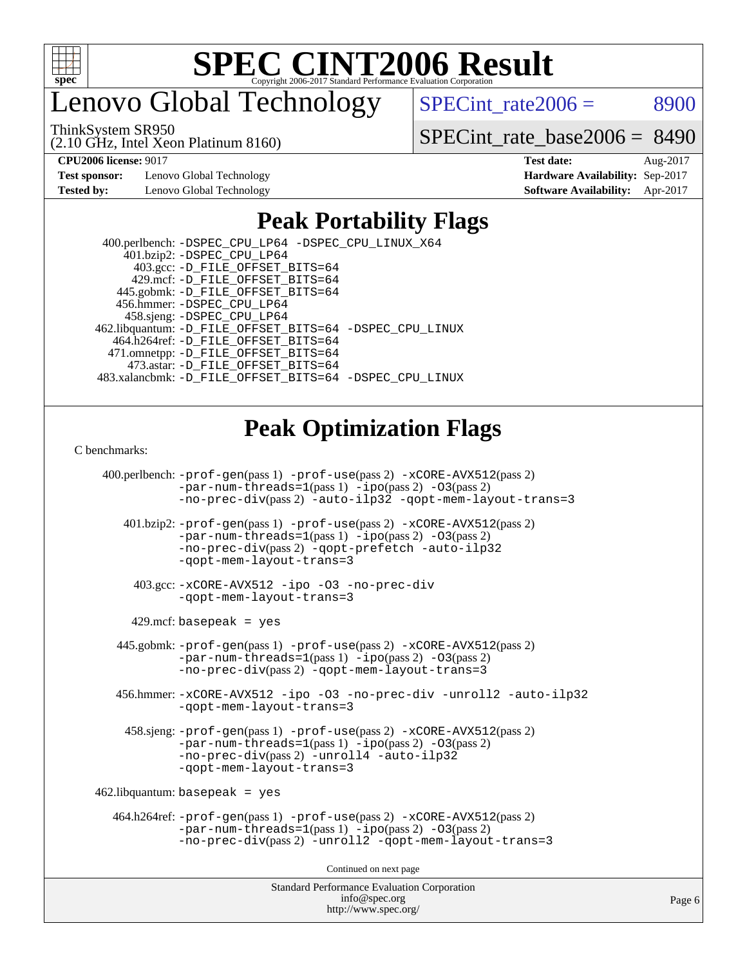

enovo Global Technology

 $SPECTnt_rate2006 = 8900$ 

ThinkSystem SR950

(2.10 GHz, Intel Xeon Platinum 8160)

[SPECint\\_rate\\_base2006 =](http://www.spec.org/auto/cpu2006/Docs/result-fields.html#SPECintratebase2006) 8490

**[Test sponsor:](http://www.spec.org/auto/cpu2006/Docs/result-fields.html#Testsponsor)** Lenovo Global Technology **[Hardware Availability:](http://www.spec.org/auto/cpu2006/Docs/result-fields.html#HardwareAvailability)** Sep-2017 **[Tested by:](http://www.spec.org/auto/cpu2006/Docs/result-fields.html#Testedby)** Lenovo Global Technology **[Software Availability:](http://www.spec.org/auto/cpu2006/Docs/result-fields.html#SoftwareAvailability)** Apr-2017

**[CPU2006 license:](http://www.spec.org/auto/cpu2006/Docs/result-fields.html#CPU2006license)** 9017 **[Test date:](http://www.spec.org/auto/cpu2006/Docs/result-fields.html#Testdate)** Aug-2017

# **[Peak Portability Flags](http://www.spec.org/auto/cpu2006/Docs/result-fields.html#PeakPortabilityFlags)**

 400.perlbench: [-DSPEC\\_CPU\\_LP64](http://www.spec.org/cpu2006/results/res2017q4/cpu2006-20170917-49368.flags.html#b400.perlbench_peakCPORTABILITY_DSPEC_CPU_LP64) [-DSPEC\\_CPU\\_LINUX\\_X64](http://www.spec.org/cpu2006/results/res2017q4/cpu2006-20170917-49368.flags.html#b400.perlbench_peakCPORTABILITY_DSPEC_CPU_LINUX_X64) 401.bzip2: [-DSPEC\\_CPU\\_LP64](http://www.spec.org/cpu2006/results/res2017q4/cpu2006-20170917-49368.flags.html#suite_peakCPORTABILITY401_bzip2_DSPEC_CPU_LP64) 403.gcc: [-D\\_FILE\\_OFFSET\\_BITS=64](http://www.spec.org/cpu2006/results/res2017q4/cpu2006-20170917-49368.flags.html#user_peakPORTABILITY403_gcc_file_offset_bits_64_438cf9856305ebd76870a2c6dc2689ab) 429.mcf: [-D\\_FILE\\_OFFSET\\_BITS=64](http://www.spec.org/cpu2006/results/res2017q4/cpu2006-20170917-49368.flags.html#user_peakPORTABILITY429_mcf_file_offset_bits_64_438cf9856305ebd76870a2c6dc2689ab) 445.gobmk: [-D\\_FILE\\_OFFSET\\_BITS=64](http://www.spec.org/cpu2006/results/res2017q4/cpu2006-20170917-49368.flags.html#user_peakPORTABILITY445_gobmk_file_offset_bits_64_438cf9856305ebd76870a2c6dc2689ab) 456.hmmer: [-DSPEC\\_CPU\\_LP64](http://www.spec.org/cpu2006/results/res2017q4/cpu2006-20170917-49368.flags.html#suite_peakCPORTABILITY456_hmmer_DSPEC_CPU_LP64) 458.sjeng: [-DSPEC\\_CPU\\_LP64](http://www.spec.org/cpu2006/results/res2017q4/cpu2006-20170917-49368.flags.html#suite_peakCPORTABILITY458_sjeng_DSPEC_CPU_LP64) 462.libquantum: [-D\\_FILE\\_OFFSET\\_BITS=64](http://www.spec.org/cpu2006/results/res2017q4/cpu2006-20170917-49368.flags.html#user_peakPORTABILITY462_libquantum_file_offset_bits_64_438cf9856305ebd76870a2c6dc2689ab) [-DSPEC\\_CPU\\_LINUX](http://www.spec.org/cpu2006/results/res2017q4/cpu2006-20170917-49368.flags.html#b462.libquantum_peakCPORTABILITY_DSPEC_CPU_LINUX) 464.h264ref: [-D\\_FILE\\_OFFSET\\_BITS=64](http://www.spec.org/cpu2006/results/res2017q4/cpu2006-20170917-49368.flags.html#user_peakPORTABILITY464_h264ref_file_offset_bits_64_438cf9856305ebd76870a2c6dc2689ab) 471.omnetpp: [-D\\_FILE\\_OFFSET\\_BITS=64](http://www.spec.org/cpu2006/results/res2017q4/cpu2006-20170917-49368.flags.html#user_peakPORTABILITY471_omnetpp_file_offset_bits_64_438cf9856305ebd76870a2c6dc2689ab) 473.astar: [-D\\_FILE\\_OFFSET\\_BITS=64](http://www.spec.org/cpu2006/results/res2017q4/cpu2006-20170917-49368.flags.html#user_peakPORTABILITY473_astar_file_offset_bits_64_438cf9856305ebd76870a2c6dc2689ab) 483.xalancbmk: [-D\\_FILE\\_OFFSET\\_BITS=64](http://www.spec.org/cpu2006/results/res2017q4/cpu2006-20170917-49368.flags.html#user_peakPORTABILITY483_xalancbmk_file_offset_bits_64_438cf9856305ebd76870a2c6dc2689ab) [-DSPEC\\_CPU\\_LINUX](http://www.spec.org/cpu2006/results/res2017q4/cpu2006-20170917-49368.flags.html#b483.xalancbmk_peakCXXPORTABILITY_DSPEC_CPU_LINUX)

# **[Peak Optimization Flags](http://www.spec.org/auto/cpu2006/Docs/result-fields.html#PeakOptimizationFlags)**

[C benchmarks](http://www.spec.org/auto/cpu2006/Docs/result-fields.html#Cbenchmarks):

Standard Performance Evaluation Corporation 400.perlbench: [-prof-gen](http://www.spec.org/cpu2006/results/res2017q4/cpu2006-20170917-49368.flags.html#user_peakPASS1_CFLAGSPASS1_LDCFLAGS400_perlbench_prof_gen_e43856698f6ca7b7e442dfd80e94a8fc)(pass 1) [-prof-use](http://www.spec.org/cpu2006/results/res2017q4/cpu2006-20170917-49368.flags.html#user_peakPASS2_CFLAGSPASS2_LDCFLAGS400_perlbench_prof_use_bccf7792157ff70d64e32fe3e1250b55)(pass 2) [-xCORE-AVX512](http://www.spec.org/cpu2006/results/res2017q4/cpu2006-20170917-49368.flags.html#user_peakPASS2_CFLAGSPASS2_LDCFLAGS400_perlbench_f-xCORE-AVX512)(pass 2) [-par-num-threads=1](http://www.spec.org/cpu2006/results/res2017q4/cpu2006-20170917-49368.flags.html#user_peakPASS1_CFLAGSPASS1_LDCFLAGS400_perlbench_par_num_threads_786a6ff141b4e9e90432e998842df6c2)(pass 1) [-ipo](http://www.spec.org/cpu2006/results/res2017q4/cpu2006-20170917-49368.flags.html#user_peakPASS2_CFLAGSPASS2_LDCFLAGS400_perlbench_f-ipo)(pass 2) [-O3](http://www.spec.org/cpu2006/results/res2017q4/cpu2006-20170917-49368.flags.html#user_peakPASS2_CFLAGSPASS2_LDCFLAGS400_perlbench_f-O3)(pass 2) [-no-prec-div](http://www.spec.org/cpu2006/results/res2017q4/cpu2006-20170917-49368.flags.html#user_peakPASS2_CFLAGSPASS2_LDCFLAGS400_perlbench_f-no-prec-div)(pass 2) [-auto-ilp32](http://www.spec.org/cpu2006/results/res2017q4/cpu2006-20170917-49368.flags.html#user_peakCOPTIMIZE400_perlbench_f-auto-ilp32) [-qopt-mem-layout-trans=3](http://www.spec.org/cpu2006/results/res2017q4/cpu2006-20170917-49368.flags.html#user_peakCOPTIMIZE400_perlbench_f-qopt-mem-layout-trans_170f5be61cd2cedc9b54468c59262d5d) 401.bzip2: [-prof-gen](http://www.spec.org/cpu2006/results/res2017q4/cpu2006-20170917-49368.flags.html#user_peakPASS1_CFLAGSPASS1_LDCFLAGS401_bzip2_prof_gen_e43856698f6ca7b7e442dfd80e94a8fc)(pass 1) [-prof-use](http://www.spec.org/cpu2006/results/res2017q4/cpu2006-20170917-49368.flags.html#user_peakPASS2_CFLAGSPASS2_LDCFLAGS401_bzip2_prof_use_bccf7792157ff70d64e32fe3e1250b55)(pass 2) [-xCORE-AVX512](http://www.spec.org/cpu2006/results/res2017q4/cpu2006-20170917-49368.flags.html#user_peakPASS2_CFLAGSPASS2_LDCFLAGS401_bzip2_f-xCORE-AVX512)(pass 2) [-par-num-threads=1](http://www.spec.org/cpu2006/results/res2017q4/cpu2006-20170917-49368.flags.html#user_peakPASS1_CFLAGSPASS1_LDCFLAGS401_bzip2_par_num_threads_786a6ff141b4e9e90432e998842df6c2)(pass 1) [-ipo](http://www.spec.org/cpu2006/results/res2017q4/cpu2006-20170917-49368.flags.html#user_peakPASS2_CFLAGSPASS2_LDCFLAGS401_bzip2_f-ipo)(pass 2) [-O3](http://www.spec.org/cpu2006/results/res2017q4/cpu2006-20170917-49368.flags.html#user_peakPASS2_CFLAGSPASS2_LDCFLAGS401_bzip2_f-O3)(pass 2) [-no-prec-div](http://www.spec.org/cpu2006/results/res2017q4/cpu2006-20170917-49368.flags.html#user_peakPASS2_CFLAGSPASS2_LDCFLAGS401_bzip2_f-no-prec-div)(pass 2) [-qopt-prefetch](http://www.spec.org/cpu2006/results/res2017q4/cpu2006-20170917-49368.flags.html#user_peakCOPTIMIZE401_bzip2_f-qopt-prefetch) [-auto-ilp32](http://www.spec.org/cpu2006/results/res2017q4/cpu2006-20170917-49368.flags.html#user_peakCOPTIMIZE401_bzip2_f-auto-ilp32) [-qopt-mem-layout-trans=3](http://www.spec.org/cpu2006/results/res2017q4/cpu2006-20170917-49368.flags.html#user_peakCOPTIMIZE401_bzip2_f-qopt-mem-layout-trans_170f5be61cd2cedc9b54468c59262d5d) 403.gcc: [-xCORE-AVX512](http://www.spec.org/cpu2006/results/res2017q4/cpu2006-20170917-49368.flags.html#user_peakOPTIMIZE403_gcc_f-xCORE-AVX512) [-ipo](http://www.spec.org/cpu2006/results/res2017q4/cpu2006-20170917-49368.flags.html#user_peakOPTIMIZE403_gcc_f-ipo) [-O3](http://www.spec.org/cpu2006/results/res2017q4/cpu2006-20170917-49368.flags.html#user_peakOPTIMIZE403_gcc_f-O3) [-no-prec-div](http://www.spec.org/cpu2006/results/res2017q4/cpu2006-20170917-49368.flags.html#user_peakOPTIMIZE403_gcc_f-no-prec-div) [-qopt-mem-layout-trans=3](http://www.spec.org/cpu2006/results/res2017q4/cpu2006-20170917-49368.flags.html#user_peakCOPTIMIZE403_gcc_f-qopt-mem-layout-trans_170f5be61cd2cedc9b54468c59262d5d)  $429$ .mcf: basepeak = yes 445.gobmk: [-prof-gen](http://www.spec.org/cpu2006/results/res2017q4/cpu2006-20170917-49368.flags.html#user_peakPASS1_CFLAGSPASS1_LDCFLAGS445_gobmk_prof_gen_e43856698f6ca7b7e442dfd80e94a8fc)(pass 1) [-prof-use](http://www.spec.org/cpu2006/results/res2017q4/cpu2006-20170917-49368.flags.html#user_peakPASS2_CFLAGSPASS2_LDCFLAGSPASS2_LDFLAGS445_gobmk_prof_use_bccf7792157ff70d64e32fe3e1250b55)(pass 2) [-xCORE-AVX512](http://www.spec.org/cpu2006/results/res2017q4/cpu2006-20170917-49368.flags.html#user_peakPASS2_CFLAGSPASS2_LDCFLAGSPASS2_LDFLAGS445_gobmk_f-xCORE-AVX512)(pass 2) [-par-num-threads=1](http://www.spec.org/cpu2006/results/res2017q4/cpu2006-20170917-49368.flags.html#user_peakPASS1_CFLAGSPASS1_LDCFLAGS445_gobmk_par_num_threads_786a6ff141b4e9e90432e998842df6c2)(pass 1) [-ipo](http://www.spec.org/cpu2006/results/res2017q4/cpu2006-20170917-49368.flags.html#user_peakPASS2_LDCFLAGS445_gobmk_f-ipo)(pass 2) [-O3](http://www.spec.org/cpu2006/results/res2017q4/cpu2006-20170917-49368.flags.html#user_peakPASS2_LDCFLAGS445_gobmk_f-O3)(pass 2) [-no-prec-div](http://www.spec.org/cpu2006/results/res2017q4/cpu2006-20170917-49368.flags.html#user_peakPASS2_LDCFLAGS445_gobmk_f-no-prec-div)(pass 2) [-qopt-mem-layout-trans=3](http://www.spec.org/cpu2006/results/res2017q4/cpu2006-20170917-49368.flags.html#user_peakCOPTIMIZE445_gobmk_f-qopt-mem-layout-trans_170f5be61cd2cedc9b54468c59262d5d) 456.hmmer: [-xCORE-AVX512](http://www.spec.org/cpu2006/results/res2017q4/cpu2006-20170917-49368.flags.html#user_peakOPTIMIZE456_hmmer_f-xCORE-AVX512) [-ipo](http://www.spec.org/cpu2006/results/res2017q4/cpu2006-20170917-49368.flags.html#user_peakOPTIMIZE456_hmmer_f-ipo) [-O3](http://www.spec.org/cpu2006/results/res2017q4/cpu2006-20170917-49368.flags.html#user_peakOPTIMIZE456_hmmer_f-O3) [-no-prec-div](http://www.spec.org/cpu2006/results/res2017q4/cpu2006-20170917-49368.flags.html#user_peakOPTIMIZE456_hmmer_f-no-prec-div) [-unroll2](http://www.spec.org/cpu2006/results/res2017q4/cpu2006-20170917-49368.flags.html#user_peakCOPTIMIZE456_hmmer_f-unroll_784dae83bebfb236979b41d2422d7ec2) [-auto-ilp32](http://www.spec.org/cpu2006/results/res2017q4/cpu2006-20170917-49368.flags.html#user_peakCOPTIMIZE456_hmmer_f-auto-ilp32) [-qopt-mem-layout-trans=3](http://www.spec.org/cpu2006/results/res2017q4/cpu2006-20170917-49368.flags.html#user_peakCOPTIMIZE456_hmmer_f-qopt-mem-layout-trans_170f5be61cd2cedc9b54468c59262d5d) 458.sjeng: [-prof-gen](http://www.spec.org/cpu2006/results/res2017q4/cpu2006-20170917-49368.flags.html#user_peakPASS1_CFLAGSPASS1_LDCFLAGS458_sjeng_prof_gen_e43856698f6ca7b7e442dfd80e94a8fc)(pass 1) [-prof-use](http://www.spec.org/cpu2006/results/res2017q4/cpu2006-20170917-49368.flags.html#user_peakPASS2_CFLAGSPASS2_LDCFLAGS458_sjeng_prof_use_bccf7792157ff70d64e32fe3e1250b55)(pass 2) [-xCORE-AVX512](http://www.spec.org/cpu2006/results/res2017q4/cpu2006-20170917-49368.flags.html#user_peakPASS2_CFLAGSPASS2_LDCFLAGS458_sjeng_f-xCORE-AVX512)(pass 2) [-par-num-threads=1](http://www.spec.org/cpu2006/results/res2017q4/cpu2006-20170917-49368.flags.html#user_peakPASS1_CFLAGSPASS1_LDCFLAGS458_sjeng_par_num_threads_786a6ff141b4e9e90432e998842df6c2)(pass 1) [-ipo](http://www.spec.org/cpu2006/results/res2017q4/cpu2006-20170917-49368.flags.html#user_peakPASS2_CFLAGSPASS2_LDCFLAGS458_sjeng_f-ipo)(pass 2) [-O3](http://www.spec.org/cpu2006/results/res2017q4/cpu2006-20170917-49368.flags.html#user_peakPASS2_CFLAGSPASS2_LDCFLAGS458_sjeng_f-O3)(pass 2) [-no-prec-div](http://www.spec.org/cpu2006/results/res2017q4/cpu2006-20170917-49368.flags.html#user_peakPASS2_CFLAGSPASS2_LDCFLAGS458_sjeng_f-no-prec-div)(pass 2) [-unroll4](http://www.spec.org/cpu2006/results/res2017q4/cpu2006-20170917-49368.flags.html#user_peakCOPTIMIZE458_sjeng_f-unroll_4e5e4ed65b7fd20bdcd365bec371b81f) [-auto-ilp32](http://www.spec.org/cpu2006/results/res2017q4/cpu2006-20170917-49368.flags.html#user_peakCOPTIMIZE458_sjeng_f-auto-ilp32) [-qopt-mem-layout-trans=3](http://www.spec.org/cpu2006/results/res2017q4/cpu2006-20170917-49368.flags.html#user_peakCOPTIMIZE458_sjeng_f-qopt-mem-layout-trans_170f5be61cd2cedc9b54468c59262d5d)  $462$ .libquantum: basepeak = yes 464.h264ref: [-prof-gen](http://www.spec.org/cpu2006/results/res2017q4/cpu2006-20170917-49368.flags.html#user_peakPASS1_CFLAGSPASS1_LDCFLAGS464_h264ref_prof_gen_e43856698f6ca7b7e442dfd80e94a8fc)(pass 1) [-prof-use](http://www.spec.org/cpu2006/results/res2017q4/cpu2006-20170917-49368.flags.html#user_peakPASS2_CFLAGSPASS2_LDCFLAGS464_h264ref_prof_use_bccf7792157ff70d64e32fe3e1250b55)(pass 2) [-xCORE-AVX512](http://www.spec.org/cpu2006/results/res2017q4/cpu2006-20170917-49368.flags.html#user_peakPASS2_CFLAGSPASS2_LDCFLAGS464_h264ref_f-xCORE-AVX512)(pass 2)  $-par-num-threads=1(pass 1) -ipo(pass 2) -O3(pass 2)$  $-par-num-threads=1(pass 1) -ipo(pass 2) -O3(pass 2)$  $-par-num-threads=1(pass 1) -ipo(pass 2) -O3(pass 2)$  $-par-num-threads=1(pass 1) -ipo(pass 2) -O3(pass 2)$  $-par-num-threads=1(pass 1) -ipo(pass 2) -O3(pass 2)$  $-par-num-threads=1(pass 1) -ipo(pass 2) -O3(pass 2)$ [-no-prec-div](http://www.spec.org/cpu2006/results/res2017q4/cpu2006-20170917-49368.flags.html#user_peakPASS2_CFLAGSPASS2_LDCFLAGS464_h264ref_f-no-prec-div)(pass 2) [-unroll2](http://www.spec.org/cpu2006/results/res2017q4/cpu2006-20170917-49368.flags.html#user_peakCOPTIMIZE464_h264ref_f-unroll_784dae83bebfb236979b41d2422d7ec2) [-qopt-mem-layout-trans=3](http://www.spec.org/cpu2006/results/res2017q4/cpu2006-20170917-49368.flags.html#user_peakCOPTIMIZE464_h264ref_f-qopt-mem-layout-trans_170f5be61cd2cedc9b54468c59262d5d) Continued on next page

[info@spec.org](mailto:info@spec.org) <http://www.spec.org/>